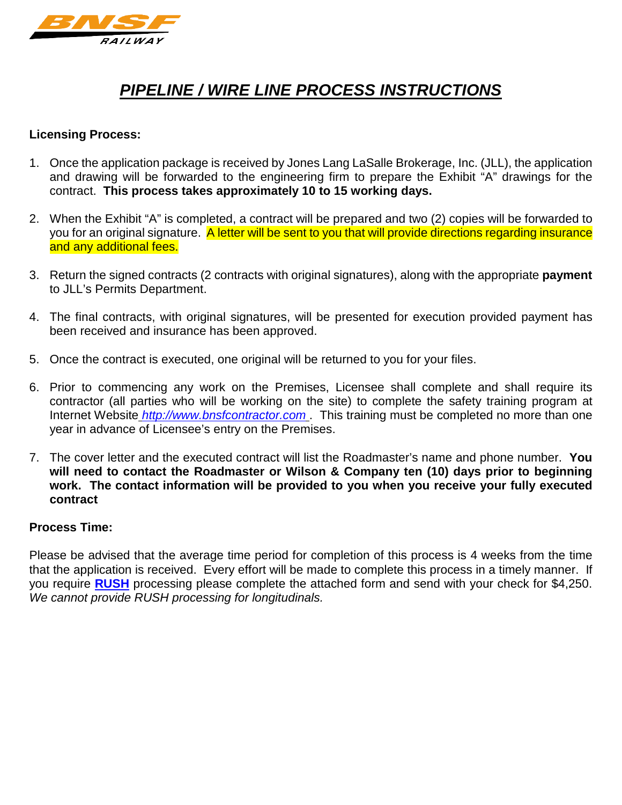

# *PIPELINE / WIRE LINE PROCESS INSTRUCTIONS*

# **Licensing Process:**

- 1. Once the application package is received by Jones Lang LaSalle Brokerage, Inc. (JLL), the application and drawing will be forwarded to the engineering firm to prepare the Exhibit "A" drawings for the contract. **This process takes approximately 10 to 15 working days.**
- 2. When the Exhibit "A" is completed, a contract will be prepared and two (2) copies will be forwarded to you for an original signature. A letter will be sent to you that will provide directions regarding insurance and any additional fees.
- 3. Return the signed contracts (2 contracts with original signatures), along with the appropriate **payment** to JLL's Permits Department.
- 4. The final contracts, with original signatures, will be presented for execution provided payment has been received and insurance has been approved.
- 5. Once the contract is executed, one original will be returned to you for your files.
- 6. Prior to commencing any work on the Premises, Licensee shall complete and shall require its contractor (all parties who will be working on the site) to complete the safety training program at Internet Website *[http://www.bnsfcontractor.com](http://www.contractororientation.com/)* . This training must be completed no more than one year in advance of Licensee's entry on the Premises.
- 7. The cover letter and the executed contract will list the Roadmaster's name and phone number. **You will need to contact the Roadmaster or Wilson & Company ten (10) days prior to beginning work. The contact information will be provided to you when you receive your fully executed contract**

#### **Process Time:**

Please be advised that the average time period for completion of this process is 4 weeks from the time that the application is received. Every effort will be made to complete this process in a timely manner. If you require **[RUSH](http://www.bnsf.com/communities/faqs/pdf/rush.doc)** processing please complete the attached form and send with your check for \$4,250. *We cannot provide RUSH processing for longitudinals.*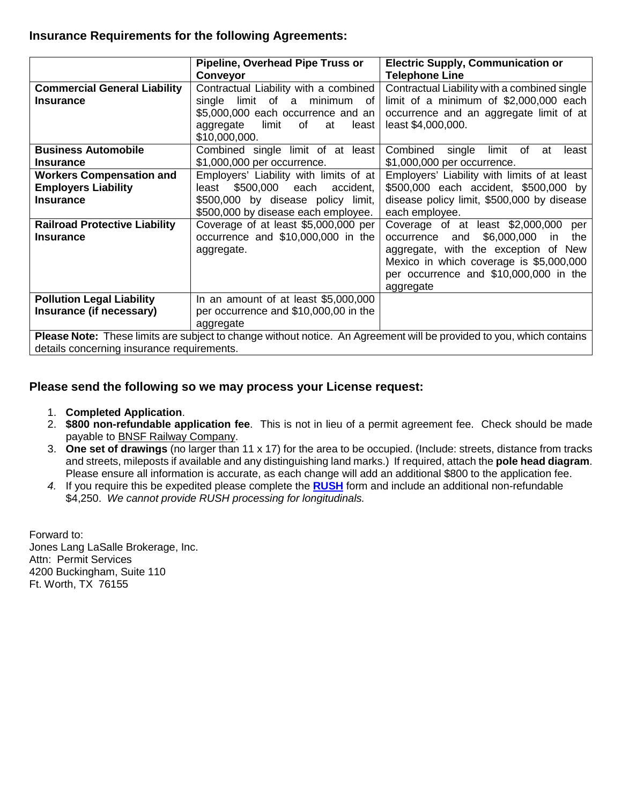# **Insurance Requirements for the following Agreements:**

|                                            | Pipeline, Overhead Pipe Truss or        | <b>Electric Supply, Communication or</b>                                                                             |
|--------------------------------------------|-----------------------------------------|----------------------------------------------------------------------------------------------------------------------|
|                                            | <b>Conveyor</b>                         | <b>Telephone Line</b>                                                                                                |
| <b>Commercial General Liability</b>        | Contractual Liability with a combined   | Contractual Liability with a combined single                                                                         |
| <b>Insurance</b>                           | limit of a<br>minimum of<br>single      | limit of a minimum of \$2,000,000 each                                                                               |
|                                            | \$5,000,000 each occurrence and an      | occurrence and an aggregate limit of at                                                                              |
|                                            | of<br>aggregate<br>limit<br>at<br>least | least \$4,000,000.                                                                                                   |
|                                            | \$10,000,000.                           |                                                                                                                      |
| <b>Business Automobile</b>                 | Combined single limit of at least       | Combined<br>single limit of<br>at<br>least                                                                           |
| <b>Insurance</b>                           | \$1,000,000 per occurrence.             | \$1,000,000 per occurrence.                                                                                          |
| <b>Workers Compensation and</b>            | Employers' Liability with limits of at  | Employers' Liability with limits of at least                                                                         |
| <b>Employers Liability</b>                 | \$500,000<br>least<br>each<br>accident, | \$500,000 each accident, \$500,000 by                                                                                |
| <b>Insurance</b>                           | \$500,000 by disease policy limit,      | disease policy limit, \$500,000 by disease                                                                           |
|                                            | \$500,000 by disease each employee.     | each employee.                                                                                                       |
| <b>Railroad Protective Liability</b>       | Coverage of at least \$5,000,000 per    | Coverage of at least \$2,000,000<br>per                                                                              |
| <b>Insurance</b>                           | occurrence and \$10,000,000 in the      | \$6,000,000<br>occurrence<br>and<br>the<br>-in                                                                       |
|                                            | aggregate.                              | aggregate, with the exception of New                                                                                 |
|                                            |                                         | Mexico in which coverage is \$5,000,000                                                                              |
|                                            |                                         | per occurrence and \$10,000,000 in the                                                                               |
|                                            |                                         | aggregate                                                                                                            |
| <b>Pollution Legal Liability</b>           | In an amount of at least \$5,000,000    |                                                                                                                      |
| Insurance (if necessary)                   | per occurrence and \$10,000,00 in the   |                                                                                                                      |
|                                            | aggregate                               |                                                                                                                      |
|                                            |                                         | Please Note: These limits are subject to change without notice. An Agreement will be provided to you, which contains |
| details concerning insurance requirements. |                                         |                                                                                                                      |

## **Please send the following so we may process your License request:**

- 1. **Completed Application**.
- 2. **\$800 non-refundable application fee**. This is not in lieu of a permit agreement fee. Check should be made payable to BNSF Railway Company.
- 3. **One set of drawings** (no larger than 11 x 17) for the area to be occupied. (Include: streets, distance from tracks and streets, mileposts if available and any distinguishing land marks.) If required, attach the **pole head diagram**. Please ensure all information is accurate, as each change will add an additional \$800 to the application fee.
- *4.* If you require this be expedited please complete the **[RUSH](http://www.bnsf.com/communities/faqs/pdf/rush.doc)** form and include an additional non-refundable \$4,250. *We cannot provide RUSH processing for longitudinals.*

Forward to: Jones Lang LaSalle Brokerage, Inc. Attn: Permit Services 4200 Buckingham, Suite 110 Ft. Worth, TX 76155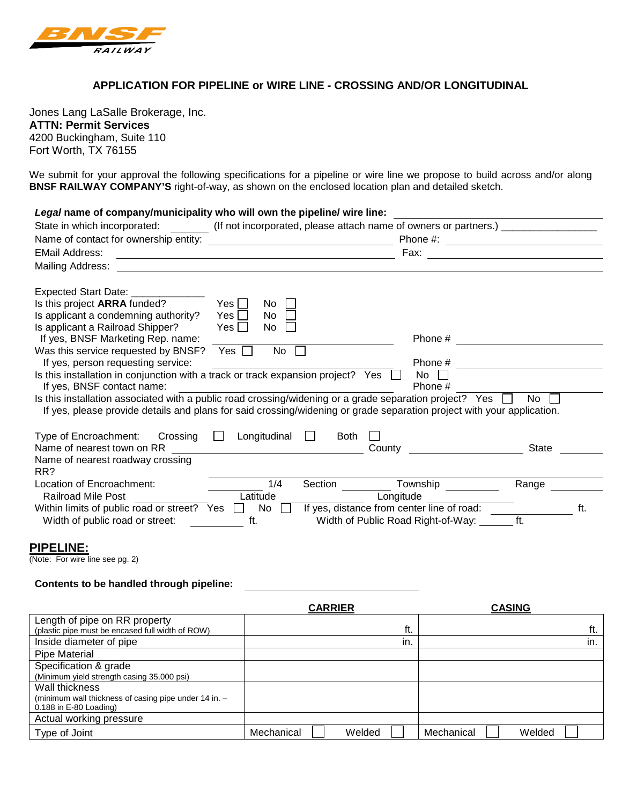

#### **APPLICATION FOR PIPELINE or WIRE LINE - CROSSING AND/OR LONGITUDINAL**

Jones Lang LaSalle Brokerage, Inc. **ATTN: Permit Services**  4200 Buckingham, Suite 110 Fort Worth, TX 76155

We submit for your approval the following specifications for a pipeline or wire line we propose to build across and/or along **BNSF RAILWAY COMPANY'S** right-of-way, as shown on the enclosed location plan and detailed sketch.

| Legal name of company/municipality who will own the pipeline/ wire line:                                                                                                                                                       |                                                              |                        |                                            |           |
|--------------------------------------------------------------------------------------------------------------------------------------------------------------------------------------------------------------------------------|--------------------------------------------------------------|------------------------|--------------------------------------------|-----------|
| State in which incorporated: (If not incorporated, please attach name of owners or partners.) [162] [162] [162] [162] [162] [162] [162] [162] [162] [162] [162] [162] [162] [162] [162] [162] [162] [162] [162] [162] [162] [1 |                                                              |                        |                                            |           |
|                                                                                                                                                                                                                                |                                                              |                        |                                            |           |
| <b>EMail Address:</b>                                                                                                                                                                                                          | <u> 1989 - Johann Stein, mars an de Britannich (b. 1989)</u> |                        | Fax:                                       |           |
| Mailing Address:                                                                                                                                                                                                               |                                                              |                        |                                            |           |
| Expected Start Date: _________                                                                                                                                                                                                 |                                                              |                        |                                            |           |
| Is this project ARRA funded?                                                                                                                                                                                                   | $Yes$ $\Box$<br>No.                                          |                        |                                            |           |
| Is applicant a condemning authority?                                                                                                                                                                                           | Yes I<br>No.                                                 |                        |                                            |           |
| Is applicant a Railroad Shipper?                                                                                                                                                                                               | Yes    <br>No.                                               |                        |                                            |           |
| If yes, BNSF Marketing Rep. name:                                                                                                                                                                                              |                                                              |                        | Phone #                                    |           |
| Was this service requested by BNSF?                                                                                                                                                                                            | No<br>$Yes \top$                                             |                        | Phone #                                    |           |
| If yes, person requesting service:<br>Is this installation in conjunction with a track or track expansion project? Yes                                                                                                         |                                                              |                        | No<br>$\perp$                              |           |
| If yes, BNSF contact name:                                                                                                                                                                                                     |                                                              |                        | Phone #                                    |           |
| Is this installation associated with a public road crossing/widening or a grade separation project? Yes $\Box$                                                                                                                 |                                                              |                        |                                            | $No$ $  $ |
| If yes, please provide details and plans for said crossing/widening or grade separation project with your application.                                                                                                         |                                                              |                        |                                            |           |
|                                                                                                                                                                                                                                |                                                              |                        |                                            |           |
| Type of Encroachment: Crossing                                                                                                                                                                                                 | Longitudinal<br>$\perp$                                      | <b>Both</b><br>$\perp$ |                                            |           |
| Name of nearest town on RR                                                                                                                                                                                                     |                                                              |                        | County                                     | State     |
| Name of nearest roadway crossing                                                                                                                                                                                               |                                                              |                        |                                            |           |
| RR?                                                                                                                                                                                                                            |                                                              |                        |                                            |           |
| Location of Encroachment:                                                                                                                                                                                                      | 1/4                                                          | Section                | Township                                   | Range     |
| Railroad Mile Post                                                                                                                                                                                                             | Latitude                                                     |                        | Longitude                                  |           |
| Within limits of public road or street? Yes                                                                                                                                                                                    | No                                                           |                        | If yes, distance from center line of road: | ft.       |
| Width of public road or street:                                                                                                                                                                                                | ft.                                                          |                        | Width of Public Road Right-of-Way:         | ft.       |
|                                                                                                                                                                                                                                |                                                              |                        |                                            |           |

#### **PIPELINE:**

(Note: For wire line see pg. 2)

#### **Contents to be handled through pipeline:**

|                                                       | <b>CARRIER</b> |        |            | <b>CASING</b> |
|-------------------------------------------------------|----------------|--------|------------|---------------|
| Length of pipe on RR property                         |                |        |            |               |
| (plastic pipe must be encased full width of ROW)      |                | ft.    |            | ft.           |
| Inside diameter of pipe                               |                | in.    |            | in.           |
| <b>Pipe Material</b>                                  |                |        |            |               |
| Specification & grade                                 |                |        |            |               |
| (Minimum yield strength casing 35,000 psi)            |                |        |            |               |
| Wall thickness                                        |                |        |            |               |
| (minimum wall thickness of casing pipe under 14 in. - |                |        |            |               |
| $0.188$ in E-80 Loading)                              |                |        |            |               |
| Actual working pressure                               |                |        |            |               |
| Type of Joint                                         | Mechanical     | Welded | Mechanical | Welded        |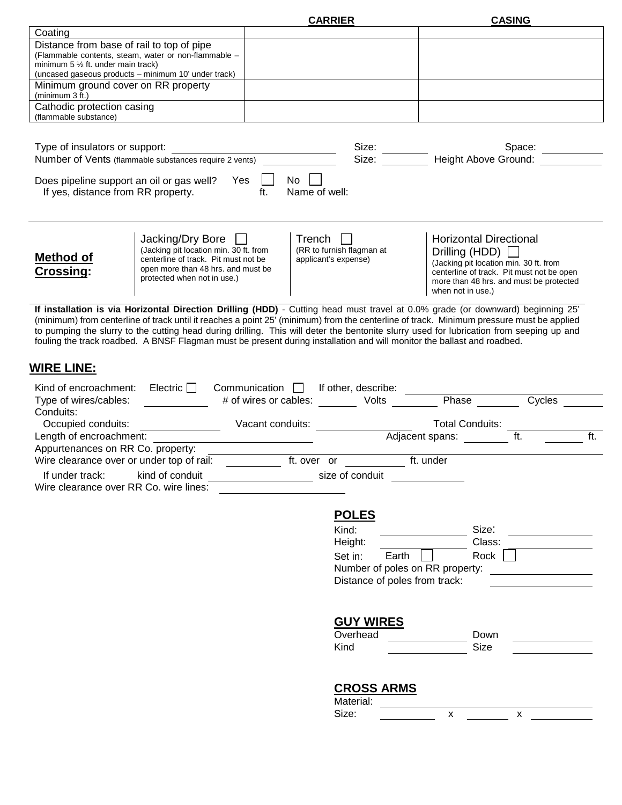| Coating                                                |                                                                                                                                                                                                                                                                                               | <b>CARRIER</b>                                          |                           |                                                                                                                                                                                                                                | <b>CASING</b>                                                |     |
|--------------------------------------------------------|-----------------------------------------------------------------------------------------------------------------------------------------------------------------------------------------------------------------------------------------------------------------------------------------------|---------------------------------------------------------|---------------------------|--------------------------------------------------------------------------------------------------------------------------------------------------------------------------------------------------------------------------------|--------------------------------------------------------------|-----|
|                                                        |                                                                                                                                                                                                                                                                                               |                                                         |                           |                                                                                                                                                                                                                                |                                                              |     |
| Distance from base of rail to top of pipe              |                                                                                                                                                                                                                                                                                               |                                                         |                           |                                                                                                                                                                                                                                |                                                              |     |
|                                                        | (Flammable contents, steam, water or non-flammable -                                                                                                                                                                                                                                          |                                                         |                           |                                                                                                                                                                                                                                |                                                              |     |
| minimum $5\frac{1}{2}$ ft. under main track)           | (uncased gaseous products - minimum 10' under track)                                                                                                                                                                                                                                          |                                                         |                           |                                                                                                                                                                                                                                |                                                              |     |
| Minimum ground cover on RR property<br>(minimum 3 ft.) |                                                                                                                                                                                                                                                                                               |                                                         |                           |                                                                                                                                                                                                                                |                                                              |     |
| Cathodic protection casing                             |                                                                                                                                                                                                                                                                                               |                                                         |                           |                                                                                                                                                                                                                                |                                                              |     |
| (flammable substance)                                  |                                                                                                                                                                                                                                                                                               |                                                         |                           |                                                                                                                                                                                                                                |                                                              |     |
|                                                        |                                                                                                                                                                                                                                                                                               |                                                         |                           |                                                                                                                                                                                                                                |                                                              |     |
|                                                        |                                                                                                                                                                                                                                                                                               |                                                         |                           |                                                                                                                                                                                                                                |                                                              |     |
|                                                        | Type of insulators or support:<br>Number of Vents (flammable substances require 2 vents)                                                                                                                                                                                                      |                                                         |                           | Size: Space: Space: Space: Size: 3126: Space: Size: 3126: Space: 3126: 3126: Space: 3126: 3126: Space: 3126: 3126: Space: 3126: 3126: 3126: 3126: 3126: 3126: 3126: 3126: 3126: 3126: 3126: 3126: 3126: 3126: 3126: 3126: 3126 |                                                              |     |
|                                                        |                                                                                                                                                                                                                                                                                               |                                                         |                           |                                                                                                                                                                                                                                |                                                              |     |
| If yes, distance from RR property.                     | Does pipeline support an oil or gas well? Yes $\Box$ No $\Box$<br>ft.                                                                                                                                                                                                                         | Name of well:                                           |                           |                                                                                                                                                                                                                                |                                                              |     |
|                                                        |                                                                                                                                                                                                                                                                                               |                                                         |                           |                                                                                                                                                                                                                                |                                                              |     |
|                                                        | Jacking/Dry Bore $\Box$                                                                                                                                                                                                                                                                       | Trench $  $                                             |                           |                                                                                                                                                                                                                                | <b>Horizontal Directional</b>                                |     |
|                                                        | (Jacking pit location min. 30 ft. from                                                                                                                                                                                                                                                        |                                                         | (RR to furnish flagman at |                                                                                                                                                                                                                                | Drilling (HDD) $\Box$                                        |     |
| Method of                                              | centerline of track. Pit must not be                                                                                                                                                                                                                                                          | applicant's expense)                                    |                           |                                                                                                                                                                                                                                | (Jacking pit location min. 30 ft. from                       |     |
| Crossing:                                              | open more than 48 hrs. and must be<br>protected when not in use.)                                                                                                                                                                                                                             |                                                         |                           |                                                                                                                                                                                                                                | centerline of track. Pit must not be open                    |     |
|                                                        |                                                                                                                                                                                                                                                                                               |                                                         |                           |                                                                                                                                                                                                                                | more than 48 hrs. and must be protected<br>when not in use.) |     |
|                                                        |                                                                                                                                                                                                                                                                                               |                                                         |                           |                                                                                                                                                                                                                                |                                                              |     |
|                                                        | If installation is via Horizontal Direction Drilling (HDD) - Cutting head must travel at 0.0% grade (or downward) beginning 25'                                                                                                                                                               |                                                         |                           |                                                                                                                                                                                                                                |                                                              |     |
|                                                        | (minimum) from centerline of track until it reaches a point 25' (minimum) from the centerline of track. Minimum pressure must be applied                                                                                                                                                      |                                                         |                           |                                                                                                                                                                                                                                |                                                              |     |
|                                                        | to pumping the slurry to the cutting head during drilling. This will deter the bentonite slurry used for lubrication from seeping up and<br>fouling the track roadbed. A BNSF Flagman must be present during installation and will monitor the ballast and roadbed.                           |                                                         |                           |                                                                                                                                                                                                                                |                                                              |     |
|                                                        |                                                                                                                                                                                                                                                                                               |                                                         |                           |                                                                                                                                                                                                                                |                                                              |     |
|                                                        |                                                                                                                                                                                                                                                                                               |                                                         |                           |                                                                                                                                                                                                                                |                                                              |     |
| <b>WIRE LINE:</b>                                      |                                                                                                                                                                                                                                                                                               |                                                         |                           |                                                                                                                                                                                                                                |                                                              |     |
| Kind of encroachment: Electric $\Box$                  |                                                                                                                                                                                                                                                                                               | Communication   If other, describe: ______              |                           |                                                                                                                                                                                                                                |                                                              |     |
| Type of wires/cables:                                  |                                                                                                                                                                                                                                                                                               |                                                         |                           |                                                                                                                                                                                                                                |                                                              |     |
| Conduits:                                              |                                                                                                                                                                                                                                                                                               |                                                         |                           |                                                                                                                                                                                                                                |                                                              |     |
| Occupied conduits:                                     |                                                                                                                                                                                                                                                                                               |                                                         |                           |                                                                                                                                                                                                                                |                                                              |     |
| Length of encroachment:                                |                                                                                                                                                                                                                                                                                               |                                                         |                           |                                                                                                                                                                                                                                |                                                              | ft. |
| Appurtenances on RR Co. property:                      |                                                                                                                                                                                                                                                                                               |                                                         |                           |                                                                                                                                                                                                                                | ft.                                                          |     |
|                                                        |                                                                                                                                                                                                                                                                                               | <u> 1989 - Johann Barn, mars an t-Amerikaansk konst</u> |                           | Adjacent spans:                                                                                                                                                                                                                |                                                              |     |
|                                                        |                                                                                                                                                                                                                                                                                               |                                                         |                           |                                                                                                                                                                                                                                |                                                              |     |
| Wire clearance over or under top of rail:              | $\frac{1}{2}$ and $\frac{1}{2}$ and $\frac{1}{2}$ and $\frac{1}{2}$ and $\frac{1}{2}$ and $\frac{1}{2}$ and $\frac{1}{2}$ and $\frac{1}{2}$ and $\frac{1}{2}$ and $\frac{1}{2}$ and $\frac{1}{2}$ and $\frac{1}{2}$ and $\frac{1}{2}$ and $\frac{1}{2}$ and $\frac{1}{2}$ and $\frac{1}{2}$ a | ft. over or                                             |                           | ft. under                                                                                                                                                                                                                      |                                                              |     |
| If under track: kind of conduit                        |                                                                                                                                                                                                                                                                                               |                                                         | size of conduit           |                                                                                                                                                                                                                                |                                                              |     |
| Wire clearance over RR Co. wire lines:                 |                                                                                                                                                                                                                                                                                               |                                                         |                           |                                                                                                                                                                                                                                |                                                              |     |
|                                                        |                                                                                                                                                                                                                                                                                               |                                                         |                           |                                                                                                                                                                                                                                |                                                              |     |
|                                                        |                                                                                                                                                                                                                                                                                               |                                                         | <b>POLES</b>              |                                                                                                                                                                                                                                |                                                              |     |
|                                                        |                                                                                                                                                                                                                                                                                               |                                                         | Kind:                     |                                                                                                                                                                                                                                | Size:                                                        |     |
|                                                        |                                                                                                                                                                                                                                                                                               |                                                         | Height:                   |                                                                                                                                                                                                                                | Class:                                                       |     |
|                                                        |                                                                                                                                                                                                                                                                                               |                                                         | Set in:                   | Earth                                                                                                                                                                                                                          | Rock                                                         |     |
|                                                        |                                                                                                                                                                                                                                                                                               |                                                         |                           | Number of poles on RR property:                                                                                                                                                                                                |                                                              |     |
|                                                        |                                                                                                                                                                                                                                                                                               |                                                         |                           | Distance of poles from track:                                                                                                                                                                                                  |                                                              |     |
|                                                        |                                                                                                                                                                                                                                                                                               |                                                         |                           |                                                                                                                                                                                                                                |                                                              |     |
|                                                        |                                                                                                                                                                                                                                                                                               |                                                         |                           |                                                                                                                                                                                                                                |                                                              |     |
|                                                        |                                                                                                                                                                                                                                                                                               |                                                         |                           |                                                                                                                                                                                                                                |                                                              |     |
|                                                        |                                                                                                                                                                                                                                                                                               |                                                         | <b>GUY WIRES</b>          |                                                                                                                                                                                                                                |                                                              |     |
|                                                        |                                                                                                                                                                                                                                                                                               |                                                         | Overhead                  |                                                                                                                                                                                                                                | Down                                                         |     |
|                                                        |                                                                                                                                                                                                                                                                                               |                                                         | Kind                      |                                                                                                                                                                                                                                | Size                                                         |     |
|                                                        |                                                                                                                                                                                                                                                                                               |                                                         |                           |                                                                                                                                                                                                                                |                                                              |     |
|                                                        |                                                                                                                                                                                                                                                                                               |                                                         |                           |                                                                                                                                                                                                                                |                                                              |     |
|                                                        |                                                                                                                                                                                                                                                                                               |                                                         | <b>CROSS ARMS</b>         |                                                                                                                                                                                                                                |                                                              |     |
|                                                        |                                                                                                                                                                                                                                                                                               |                                                         | Material:                 | $\mathsf{x}$                                                                                                                                                                                                                   |                                                              |     |
|                                                        |                                                                                                                                                                                                                                                                                               |                                                         | Size:                     |                                                                                                                                                                                                                                | $\mathsf{x}$                                                 |     |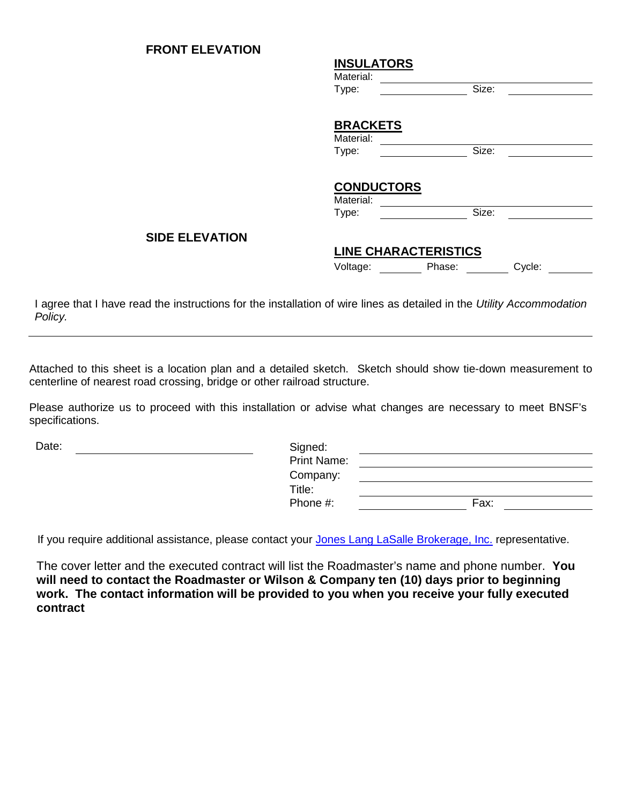## **FRONT ELEVATION**

#### **INSULATORS**

| Material: |       |  |
|-----------|-------|--|
| Type:     | -`iz≙ |  |

# **BRACKETS**

| Material: |  |
|-----------|--|
| Type:     |  |

# **CONDUCTORS**

Material: Type: Size:

#### **SIDE ELEVATION**

## **LINE CHARACTERISTICS**

Voltage: Phase: Cycle:

|  | Cycle: |  |  |
|--|--------|--|--|

I agree that I have read the instructions for the installation of wire lines as detailed in the *Utility Accommodation Policy.*

Attached to this sheet is a location plan and a detailed sketch. Sketch should show tie-down measurement to centerline of nearest road crossing, bridge or other railroad structure.

Please authorize us to proceed with this installation or advise what changes are necessary to meet BNSF's specifications.

| Date: | Signed:            |      |
|-------|--------------------|------|
|       | <b>Print Name:</b> |      |
|       | Company:           |      |
|       | Title:             |      |
|       | Phone #:           | Fax: |

If you require additional assistance, please contact your [Jones Lang LaSalle Brokerage, Inc.](http://www.bnsf.com/communities/contact-us/permits.html) representative.

The cover letter and the executed contract will list the Roadmaster's name and phone number. **You will need to contact the Roadmaster or Wilson & Company ten (10) days prior to beginning work. The contact information will be provided to you when you receive your fully executed contract**